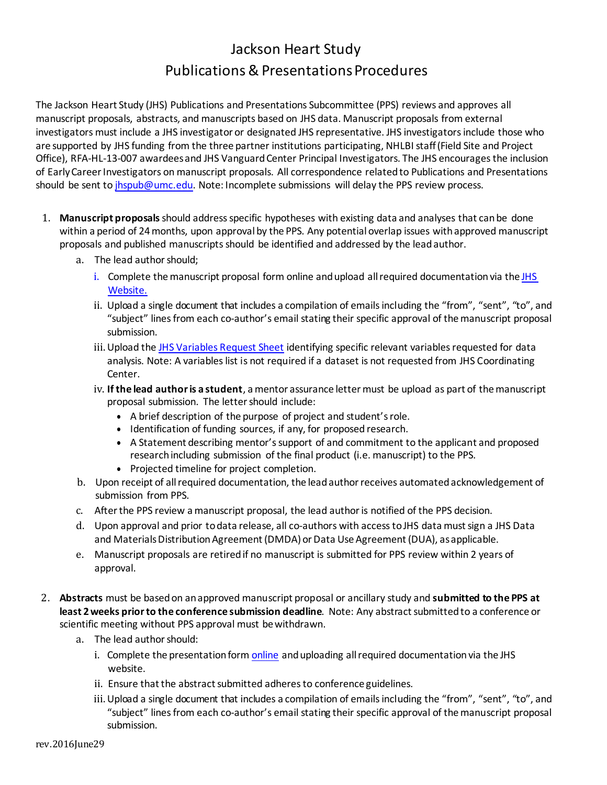## Jackson Heart Study Publications & Presentations Procedures

The Jackson Heart Study (JHS) Publications and Presentations Subcommittee (PPS) reviews and approves all manuscript proposals, abstracts, and manuscripts based on JHS data. Manuscript proposals from external investigators must include a JHS investigator or designated JHS representative. JHS investigators include those who are supported by JHS funding from the three partner institutions participating, NHLBI staff (Field Site and Project Office), RFA-HL-13-007 awardees and JHS Vanguard Center Principal Investigators. The JHS encourages the inclusion of Early Career Investigators on manuscript proposals. All correspondence related to Publications and Presentations should be sent to [jhspub@umc.edu. N](mailto:jhspub@umc.edu)ote: Incomplete submissions will delay the PPS review process.

- 1. **Manuscript proposals** should address specific hypotheses with existing data and analyses that can be done within a period of 24months, upon approval by the PPS. Any potential overlap issues withapproved manuscript proposals and published manuscriptsshould be identified and addressed by the leadauthor.
	- a. The lead author should:
		- i. Complete the manuscript proposal form online and upload all required documentation via the [JHS](https://jacksonheartstudy.org/jhsinfo/) [Website.](https://jacksonheartstudy.org/jhsinfo/)
		- ii. Upload a single document that includes a compilation of emails including the "from", "sent", "to", and "subject" lines from each co-author's email stating their specific approval of the manuscript proposal submission.
		- iii. Upload the [JHS Variables Request Sheet](https://www.jacksonheartstudy.org/Portals/0/Documents/JHS%20proposal%20variable%20list%20template.xlsx) identifying specific relevant variables requested for data analysis. Note: A variables list is not required if a dataset is not requested from JHS Coordinating Center.
		- iv. **If the lead author is a student**, a mentor assurance letter must be upload as part of the manuscript proposal submission. The letter should include:
			- A brief description of the purpose of project and student'srole.
			- Identification of funding sources, if any, for proposed research.
			- A Statement describing mentor's support of and commitment to the applicant and proposed research including submission of the final product (i.e. manuscript) to the PPS.
			- Projected timeline for project completion.
	- b. Upon receipt of allrequired documentation, the leadauthorreceives automatedacknowledgement of submission from PPS.
	- c. Afterthe PPS review a manuscript proposal, the lead authoris notified of the PPS decision.
	- d. Upon approval and prior todata release, all co-authors with accesstoJHS data mustsign a JHS Data and Materials Distribution Agreement (DMDA) or Data Use Agreement (DUA), as applicable.
	- e. Manuscript proposals are retired if no manuscript is submitted for PPS review within 2 years of approval.
- 2. **Abstracts** must be basedon anapproved manuscript proposal or ancillary study and **submitted to the PPS at least 2weeks priorto the conference submission deadline**. Note: Any abstractsubmittedto a conference or scientific meeting without PPS approval must bewithdrawn.
	- a. The lead author should:
		- i. Complete the presentation form [online](https://www.jacksonheartstudy.org/Research/Publications/tabid/229/Default.aspx/Research/Publications/tabid/229/Default.aspx#submitmanuscript) and uploading all required documentation via the JHS website.
		- ii. Ensure that the abstract submitted adheres to conferenceguidelines.
		- iii.Upload a single document that includes a compilation of emails including the "from", "sent", "to", and "subject" lines from each co-author's email stating their specific approval of the manuscript proposal submission.